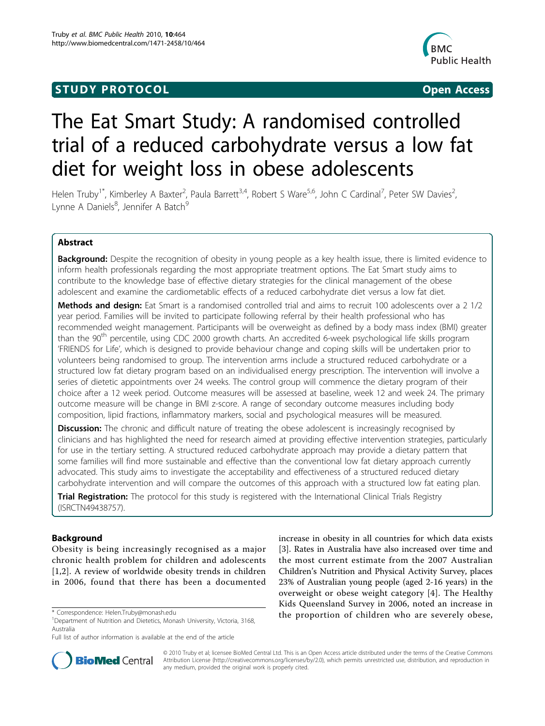# **STUDY PROTOCOL** And the state of the state of the state of the state of the state of the state of the state of the state of the state of the state of the state of the state of the state of the state of the state of the st



# The Eat Smart Study: A randomised controlled trial of a reduced carbohydrate versus a low fat diet for weight loss in obese adolescents

Helen Truby<sup>1\*</sup>, Kimberley A Baxter<sup>2</sup>, Paula Barrett<sup>3,4</sup>, Robert S Ware<sup>5,6</sup>, John C Cardinal<sup>7</sup>, Peter SW Davies<sup>2</sup> , Lynne A Daniels<sup>8</sup>, Jennifer A Batch<sup>9</sup>

# Abstract

**Background:** Despite the recognition of obesity in young people as a key health issue, there is limited evidence to inform health professionals regarding the most appropriate treatment options. The Eat Smart study aims to contribute to the knowledge base of effective dietary strategies for the clinical management of the obese adolescent and examine the cardiometablic effects of a reduced carbohydrate diet versus a low fat diet.

Methods and design: Eat Smart is a randomised controlled trial and aims to recruit 100 adolescents over a 2 1/2 year period. Families will be invited to participate following referral by their health professional who has recommended weight management. Participants will be overweight as defined by a body mass index (BMI) greater than the 90<sup>th</sup> percentile, using CDC 2000 growth charts. An accredited 6-week psychological life skills program 'FRIENDS for Life', which is designed to provide behaviour change and coping skills will be undertaken prior to volunteers being randomised to group. The intervention arms include a structured reduced carbohydrate or a structured low fat dietary program based on an individualised energy prescription. The intervention will involve a series of dietetic appointments over 24 weeks. The control group will commence the dietary program of their choice after a 12 week period. Outcome measures will be assessed at baseline, week 12 and week 24. The primary outcome measure will be change in BMI z-score. A range of secondary outcome measures including body composition, lipid fractions, inflammatory markers, social and psychological measures will be measured.

**Discussion:** The chronic and difficult nature of treating the obese adolescent is increasingly recognised by clinicians and has highlighted the need for research aimed at providing effective intervention strategies, particularly for use in the tertiary setting. A structured reduced carbohydrate approach may provide a dietary pattern that some families will find more sustainable and effective than the conventional low fat dietary approach currently advocated. This study aims to investigate the acceptability and effectiveness of a structured reduced dietary carbohydrate intervention and will compare the outcomes of this approach with a structured low fat eating plan.

Trial Registration: The protocol for this study is registered with the International Clinical Trials Registry (ISRCTN49438757).

# Background

Obesity is being increasingly recognised as a major chronic health problem for children and adolescents [[1,2](#page-7-0)]. A review of worldwide obesity trends in children in 2006, found that there has been a documented

**BioMed Central** 

Full list of author information is available at the end of the article



© 2010 Truby et al; licensee BioMed Central Ltd. This is an Open Access article distributed under the terms of the Creative Commons Attribution License [\(http://creativecommons.org/licenses/by/2.0](http://creativecommons.org/licenses/by/2.0)), which permits unrestricted use, distribution, and reproduction in any medium, provided the original work is properly cited.

<sup>&</sup>lt;sup>1</sup>Department of Nutrition and Dietetics, Monash University, Victoria, 3168, Australia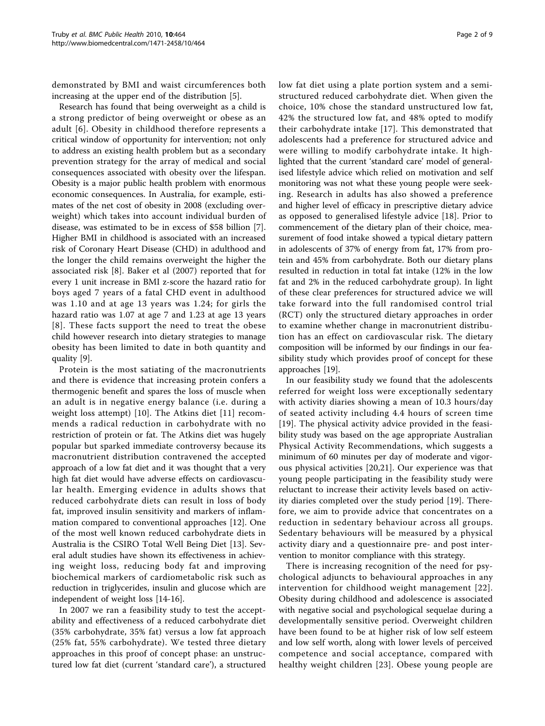demonstrated by BMI and waist circumferences both increasing at the upper end of the distribution [\[5\]](#page-7-0).

Research has found that being overweight as a child is a strong predictor of being overweight or obese as an adult [[6\]](#page-7-0). Obesity in childhood therefore represents a critical window of opportunity for intervention; not only to address an existing health problem but as a secondary prevention strategy for the array of medical and social consequences associated with obesity over the lifespan. Obesity is a major public health problem with enormous economic consequences. In Australia, for example, estimates of the net cost of obesity in 2008 (excluding overweight) which takes into account individual burden of disease, was estimated to be in excess of \$58 billion [\[7](#page-7-0)]. Higher BMI in childhood is associated with an increased risk of Coronary Heart Disease (CHD) in adulthood and the longer the child remains overweight the higher the associated risk [[8](#page-7-0)]. Baker et al (2007) reported that for every 1 unit increase in BMI z-score the hazard ratio for boys aged 7 years of a fatal CHD event in adulthood was 1.10 and at age 13 years was 1.24; for girls the hazard ratio was 1.07 at age 7 and 1.23 at age 13 years [[8\]](#page-7-0). These facts support the need to treat the obese child however research into dietary strategies to manage obesity has been limited to date in both quantity and quality [[9](#page-7-0)].

Protein is the most satiating of the macronutrients and there is evidence that increasing protein confers a thermogenic benefit and spares the loss of muscle when an adult is in negative energy balance (i.e. during a weight loss attempt) [[10](#page-7-0)]. The Atkins diet [[11\]](#page-7-0) recommends a radical reduction in carbohydrate with no restriction of protein or fat. The Atkins diet was hugely popular but sparked immediate controversy because its macronutrient distribution contravened the accepted approach of a low fat diet and it was thought that a very high fat diet would have adverse effects on cardiovascular health. Emerging evidence in adults shows that reduced carbohydrate diets can result in loss of body fat, improved insulin sensitivity and markers of inflammation compared to conventional approaches [\[12](#page-7-0)]. One of the most well known reduced carbohydrate diets in Australia is the CSIRO Total Well Being Diet [\[13](#page-7-0)]. Several adult studies have shown its effectiveness in achieving weight loss, reducing body fat and improving biochemical markers of cardiometabolic risk such as reduction in triglycerides, insulin and glucose which are independent of weight loss [\[14](#page-7-0)-[16](#page-8-0)].

In 2007 we ran a feasibility study to test the acceptability and effectiveness of a reduced carbohydrate diet (35% carbohydrate, 35% fat) versus a low fat approach (25% fat, 55% carbohydrate). We tested three dietary approaches in this proof of concept phase: an unstructured low fat diet (current 'standard care'), a structured low fat diet using a plate portion system and a semistructured reduced carbohydrate diet. When given the choice, 10% chose the standard unstructured low fat, 42% the structured low fat, and 48% opted to modify their carbohydrate intake [\[17](#page-8-0)]. This demonstrated that adolescents had a preference for structured advice and were willing to modify carbohydrate intake. It highlighted that the current 'standard care' model of generalised lifestyle advice which relied on motivation and self monitoring was not what these young people were seeking. Research in adults has also showed a preference and higher level of efficacy in prescriptive dietary advice as opposed to generalised lifestyle advice [\[18](#page-8-0)]. Prior to commencement of the dietary plan of their choice, measurement of food intake showed a typical dietary pattern in adolescents of 37% of energy from fat, 17% from protein and 45% from carbohydrate. Both our dietary plans resulted in reduction in total fat intake (12% in the low fat and 2% in the reduced carbohydrate group). In light of these clear preferences for structured advice we will take forward into the full randomised control trial (RCT) only the structured dietary approaches in order to examine whether change in macronutrient distribution has an effect on cardiovascular risk. The dietary composition will be informed by our findings in our feasibility study which provides proof of concept for these approaches [[19\]](#page-8-0).

In our feasibility study we found that the adolescents referred for weight loss were exceptionally sedentary with activity diaries showing a mean of 10.3 hours/day of seated activity including 4.4 hours of screen time [[19](#page-8-0)]. The physical activity advice provided in the feasibility study was based on the age appropriate Australian Physical Activity Recommendations, which suggests a minimum of 60 minutes per day of moderate and vigorous physical activities [\[20](#page-8-0),[21\]](#page-8-0). Our experience was that young people participating in the feasibility study were reluctant to increase their activity levels based on activity diaries completed over the study period [[19\]](#page-8-0). Therefore, we aim to provide advice that concentrates on a reduction in sedentary behaviour across all groups. Sedentary behaviours will be measured by a physical activity diary and a questionnaire pre- and post intervention to monitor compliance with this strategy.

There is increasing recognition of the need for psychological adjuncts to behavioural approaches in any intervention for childhood weight management [[22\]](#page-8-0). Obesity during childhood and adolescence is associated with negative social and psychological sequelae during a developmentally sensitive period. Overweight children have been found to be at higher risk of low self esteem and low self worth, along with lower levels of perceived competence and social acceptance, compared with healthy weight children [[23](#page-8-0)]. Obese young people are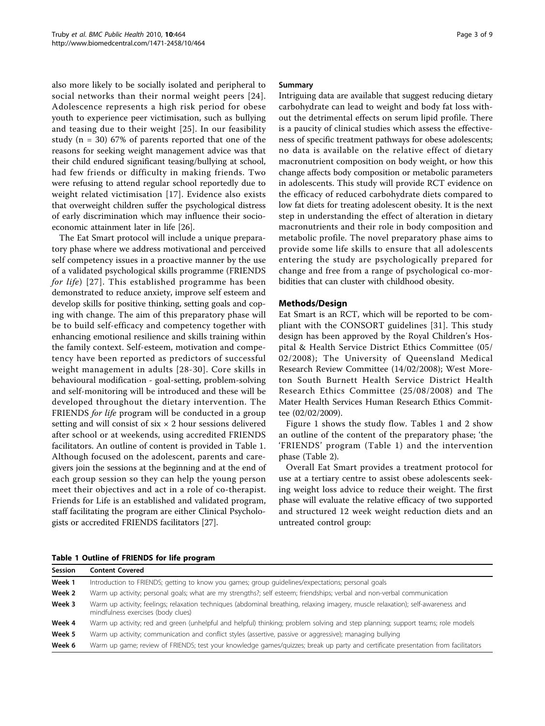also more likely to be socially isolated and peripheral to social networks than their normal weight peers [\[24\]](#page-8-0). Adolescence represents a high risk period for obese youth to experience peer victimisation, such as bullying and teasing due to their weight [[25\]](#page-8-0). In our feasibility study ( $n = 30$ ) 67% of parents reported that one of the reasons for seeking weight management advice was that their child endured significant teasing/bullying at school, had few friends or difficulty in making friends. Two were refusing to attend regular school reportedly due to weight related victimisation [[17\]](#page-8-0). Evidence also exists that overweight children suffer the psychological distress of early discrimination which may influence their socioeconomic attainment later in life [[26\]](#page-8-0).

The Eat Smart protocol will include a unique preparatory phase where we address motivational and perceived self competency issues in a proactive manner by the use of a validated psychological skills programme (FRIENDS for life) [[27\]](#page-8-0). This established programme has been demonstrated to reduce anxiety, improve self esteem and develop skills for positive thinking, setting goals and coping with change. The aim of this preparatory phase will be to build self-efficacy and competency together with enhancing emotional resilience and skills training within the family context. Self-esteem, motivation and competency have been reported as predictors of successful weight management in adults [[28-30\]](#page-8-0). Core skills in behavioural modification - goal-setting, problem-solving and self-monitoring will be introduced and these will be developed throughout the dietary intervention. The FRIENDS for life program will be conducted in a group setting and will consist of  $s$ ix  $\times$  2 hour sessions delivered after school or at weekends, using accredited FRIENDS facilitators. An outline of content is provided in Table 1. Although focused on the adolescent, parents and caregivers join the sessions at the beginning and at the end of each group session so they can help the young person meet their objectives and act in a role of co-therapist. Friends for Life is an established and validated program, staff facilitating the program are either Clinical Psychologists or accredited FRIENDS facilitators [\[27](#page-8-0)].

#### Summary

Intriguing data are available that suggest reducing dietary carbohydrate can lead to weight and body fat loss without the detrimental effects on serum lipid profile. There is a paucity of clinical studies which assess the effectiveness of specific treatment pathways for obese adolescents; no data is available on the relative effect of dietary macronutrient composition on body weight, or how this change affects body composition or metabolic parameters in adolescents. This study will provide RCT evidence on the efficacy of reduced carbohydrate diets compared to low fat diets for treating adolescent obesity. It is the next step in understanding the effect of alteration in dietary macronutrients and their role in body composition and metabolic profile. The novel preparatory phase aims to provide some life skills to ensure that all adolescents entering the study are psychologically prepared for change and free from a range of psychological co-morbidities that can cluster with childhood obesity.

#### Methods/Design

Eat Smart is an RCT, which will be reported to be compliant with the CONSORT guidelines [[31](#page-8-0)]. This study design has been approved by the Royal Children's Hospital & Health Service District Ethics Committee (05/ 02/2008); The University of Queensland Medical Research Review Committee (14/02/2008); West Moreton South Burnett Health Service District Health Research Ethics Committee (25/08/2008) and The Mater Health Services Human Research Ethics Committee (02/02/2009).

Figure [1](#page-3-0) shows the study flow. Tables 1 and [2](#page-3-0) show an outline of the content of the preparatory phase; 'the 'FRIENDS' program (Table 1) and the intervention phase (Table [2](#page-3-0)).

Overall Eat Smart provides a treatment protocol for use at a tertiary centre to assist obese adolescents seeking weight loss advice to reduce their weight. The first phase will evaluate the relative efficacy of two supported and structured 12 week weight reduction diets and an untreated control group:

| <b>Session</b> | <b>Content Covered</b>                                                                                                                                                 |  |
|----------------|------------------------------------------------------------------------------------------------------------------------------------------------------------------------|--|
| Week 1         | Introduction to FRIENDS; getting to know you games; group guidelines/expectations; personal goals                                                                      |  |
| Week 2         | Warm up activity; personal goals; what are my strengths?; self esteem; friendships; verbal and non-verbal communication                                                |  |
| Week 3         | Warm up activity; feelings; relaxation techniques (abdominal breathing, relaxing imagery, muscle relaxation); self-awareness and<br>mindfulness exercises (body clues) |  |
| Week 4         | Warm up activity; red and green (unhelpful and helpful) thinking; problem solving and step planning; support teams; role models                                        |  |
| Week 5         | Warm up activity; communication and conflict styles (assertive, passive or aggressive); managing bullying                                                              |  |
| Week 6         | Warm up game; review of FRIENDS; test your knowledge games/guizzes; break up party and certificate presentation from facilitators                                      |  |
|                |                                                                                                                                                                        |  |

Table 1 Outline of FRIENDS for life program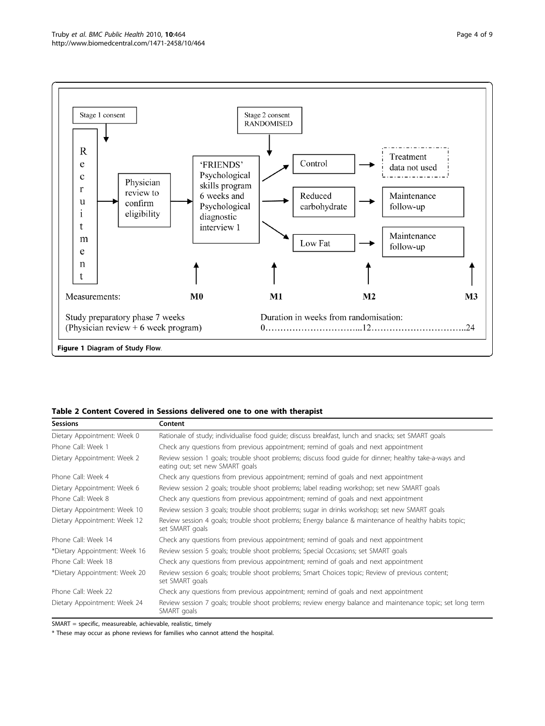<span id="page-3-0"></span>

### Table 2 Content Covered in Sessions delivered one to one with therapist

| <b>Sessions</b>               | Content                                                                                                                                   |
|-------------------------------|-------------------------------------------------------------------------------------------------------------------------------------------|
| Dietary Appointment: Week 0   | Rationale of study; individualise food quide; discuss breakfast, lunch and snacks; set SMART goals                                        |
| Phone Call: Week 1            | Check any questions from previous appointment; remind of goals and next appointment                                                       |
| Dietary Appointment: Week 2   | Review session 1 goals; trouble shoot problems; discuss food quide for dinner; healthy take-a-ways and<br>eating out; set new SMART goals |
| Phone Call: Week 4            | Check any questions from previous appointment; remind of goals and next appointment                                                       |
| Dietary Appointment: Week 6   | Review session 2 goals; trouble shoot problems; label reading workshop; set new SMART goals                                               |
| Phone Call: Week 8            | Check any questions from previous appointment; remind of goals and next appointment                                                       |
| Dietary Appointment: Week 10  | Review session 3 goals; trouble shoot problems; sugar in drinks workshop; set new SMART goals                                             |
| Dietary Appointment: Week 12  | Review session 4 goals; trouble shoot problems; Energy balance & maintenance of healthy habits topic;<br>set SMART goals                  |
| Phone Call: Week 14           | Check any questions from previous appointment; remind of goals and next appointment                                                       |
| *Dietary Appointment: Week 16 | Review session 5 goals; trouble shoot problems; Special Occasions; set SMART goals                                                        |
| Phone Call: Week 18           | Check any questions from previous appointment; remind of goals and next appointment                                                       |
| *Dietary Appointment: Week 20 | Review session 6 goals; trouble shoot problems; Smart Choices topic; Review of previous content;<br>set SMART goals                       |
| Phone Call: Week 22           | Check any questions from previous appointment; remind of goals and next appointment                                                       |
| Dietary Appointment: Week 24  | Review session 7 goals; trouble shoot problems; review energy balance and maintenance topic; set long term<br>SMART goals                 |

SMART = specific, measureable, achievable, realistic, timely

\* These may occur as phone reviews for families who cannot attend the hospital.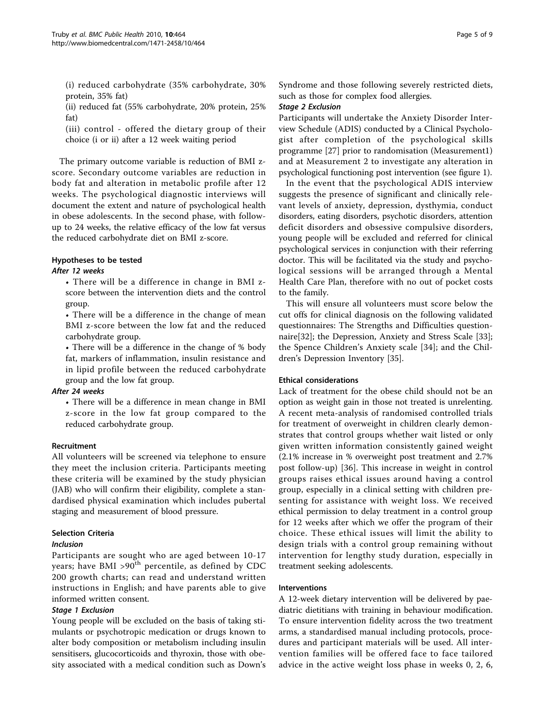(i) reduced carbohydrate (35% carbohydrate, 30% protein, 35% fat)

(ii) reduced fat (55% carbohydrate, 20% protein, 25% fat)

(iii) control - offered the dietary group of their choice (i or ii) after a 12 week waiting period

The primary outcome variable is reduction of BMI zscore. Secondary outcome variables are reduction in body fat and alteration in metabolic profile after 12 weeks. The psychological diagnostic interviews will document the extent and nature of psychological health in obese adolescents. In the second phase, with followup to 24 weeks, the relative efficacy of the low fat versus the reduced carbohydrate diet on BMI z-score.

# Hypotheses to be tested

### After 12 weeks

• There will be a difference in change in BMI zscore between the intervention diets and the control group.

• There will be a difference in the change of mean BMI z-score between the low fat and the reduced carbohydrate group.

• There will be a difference in the change of % body fat, markers of inflammation, insulin resistance and in lipid profile between the reduced carbohydrate group and the low fat group.

• There will be a difference in mean change in BMI z-score in the low fat group compared to the reduced carbohydrate group.

### Recruitment

All volunteers will be screened via telephone to ensure they meet the inclusion criteria. Participants meeting these criteria will be examined by the study physician (JAB) who will confirm their eligibility, complete a standardised physical examination which includes pubertal staging and measurement of blood pressure.

### Selection Criteria

### **Inclusion**

...........<br>Participants are sought who are aged between 10-17 years; have BMI >90 $^{th}$  percentile, as defined by CDC 200 growth charts; can read and understand written instructions in English; and have parents able to give informed written consent.

Young people will be excluded on the basis of taking stimulants or psychotropic medication or drugs known to alter body composition or metabolism including insulin sensitisers, glucocorticoids and thyroxin, those with obesity associated with a medical condition such as Down's Syndrome and those following severely restricted diets, such as those for complex food allergies.

Participants will undertake the Anxiety Disorder Interview Schedule (ADIS) conducted by a Clinical Psychologist after completion of the psychological skills programme [\[27](#page-8-0)] prior to randomisation (Measurement1) and at Measurement 2 to investigate any alteration in psychological functioning post intervention (see figure [1\)](#page-3-0).

In the event that the psychological ADIS interview suggests the presence of significant and clinically relevant levels of anxiety, depression, dysthymia, conduct disorders, eating disorders, psychotic disorders, attention deficit disorders and obsessive compulsive disorders, young people will be excluded and referred for clinical psychological services in conjunction with their referring doctor. This will be facilitated via the study and psychological sessions will be arranged through a Mental Health Care Plan, therefore with no out of pocket costs to the family.

This will ensure all volunteers must score below the cut offs for clinical diagnosis on the following validated questionnaires: The Strengths and Difficulties questionnaire[[32](#page-8-0)]; the Depression, Anxiety and Stress Scale [\[33](#page-8-0)]; the Spence Children's Anxiety scale [[34](#page-8-0)]; and the Children's Depression Inventory [\[35](#page-8-0)].

### Ethical considerations

Lack of treatment for the obese child should not be an option as weight gain in those not treated is unrelenting. A recent meta-analysis of randomised controlled trials for treatment of overweight in children clearly demonstrates that control groups whether wait listed or only given written information consistently gained weight (2.1% increase in % overweight post treatment and 2.7% post follow-up) [[36](#page-8-0)]. This increase in weight in control groups raises ethical issues around having a control group, especially in a clinical setting with children presenting for assistance with weight loss. We received ethical permission to delay treatment in a control group for 12 weeks after which we offer the program of their choice. These ethical issues will limit the ability to design trials with a control group remaining without intervention for lengthy study duration, especially in treatment seeking adolescents.

### Interventions

A 12-week dietary intervention will be delivered by paediatric dietitians with training in behaviour modification. To ensure intervention fidelity across the two treatment arms, a standardised manual including protocols, procedures and participant materials will be used. All intervention families will be offered face to face tailored advice in the active weight loss phase in weeks 0, 2, 6,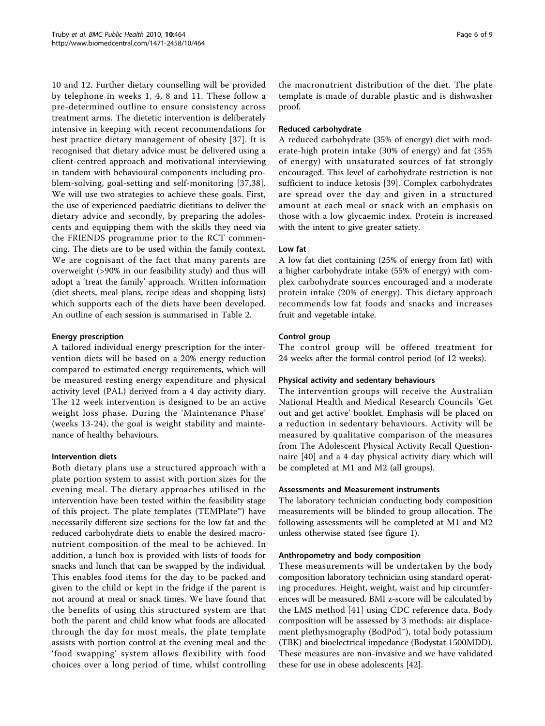10 and 12. Further dietary counselling will be provided by telephone in weeks 1, 4, 8 and 11. These follow a pre-determined outline to ensure consistency across treatment arms. The dietetic intervention is deliberately intensive in keeping with recent recommendations for best practice dietary management of obesity [[37](#page-8-0)]. It is recognised that dietary advice must be delivered using a client-centred approach and motivational interviewing in tandem with behavioural components including problem-solving, goal-setting and self-monitoring [\[37,38\]](#page-8-0). We will use two strategies to achieve these goals. First, the use of experienced paediatric dietitians to deliver the dietary advice and secondly, by preparing the adolescents and equipping them with the skills they need via the FRIENDS programme prior to the RCT commencing. The diets are to be used within the family context. We are cognisant of the fact that many parents are overweight (>90% in our feasibility study) and thus will adopt a 'treat the family' approach. Written information (diet sheets, meal plans, recipe ideas and shopping lists) which supports each of the diets have been developed. An outline of each session is summarised in Table [2.](#page-3-0)

### Energy prescription

A tailored individual energy prescription for the intervention diets will be based on a 20% energy reduction compared to estimated energy requirements, which will be measured resting energy expenditure and physical activity level (PAL) derived from a 4 day activity diary. The 12 week intervention is designed to be an active weight loss phase. During the 'Maintenance Phase' (weeks 13-24), the goal is weight stability and maintenance of healthy behaviours.

### Intervention diets

Both dietary plans use a structured approach with a plate portion system to assist with portion sizes for the evening meal. The dietary approaches utilised in the intervention have been tested within the feasibility stage of this project. The plate templates (TEMPlate™) have necessarily different size sections for the low fat and the reduced carbohydrate diets to enable the desired macronutrient composition of the meal to be achieved. In addition, a lunch box is provided with lists of foods for snacks and lunch that can be swapped by the individual. This enables food items for the day to be packed and given to the child or kept in the fridge if the parent is not around at meal or snack times. We have found that the benefits of using this structured system are that both the parent and child know what foods are allocated through the day for most meals, the plate template assists with portion control at the evening meal and the 'food swapping' system allows flexibility with food choices over a long period of time, whilst controlling

the macronutrient distribution of the diet. The plate template is made of durable plastic and is dishwasher proof.

# Reduced carbohydrate

A reduced carbohydrate (35% of energy) diet with moderate-high protein intake (30% of energy) and fat (35% of energy) with unsaturated sources of fat strongly encouraged. This level of carbohydrate restriction is not sufficient to induce ketosis [\[39](#page-8-0)]. Complex carbohydrates are spread over the day and given in a structured amount at each meal or snack with an emphasis on those with a low glycaemic index. Protein is increased with the intent to give greater satiety.

# Low fat

A low fat diet containing (25% of energy from fat) with a higher carbohydrate intake (55% of energy) with complex carbohydrate sources encouraged and a moderate protein intake (20% of energy). This dietary approach recommends low fat foods and snacks and increases fruit and vegetable intake.

# Control group

The control group will be offered treatment for 24 weeks after the formal control period (of 12 weeks).

# Physical activity and sedentary behaviours

The intervention groups will receive the Australian National Health and Medical Research Councils 'Get out and get active' booklet. Emphasis will be placed on a reduction in sedentary behaviours. Activity will be measured by qualitative comparison of the measures from The Adolescent Physical Activity Recall Questionnaire [\[40](#page-8-0)] and a 4 day physical activity diary which will be completed at M1 and M2 (all groups).

### Assessments and Measurement instruments

The laboratory technician conducting body composition measurements will be blinded to group allocation. The following assessments will be completed at M1 and M2 unless otherwise stated (see figure [1](#page-3-0)).

### Anthropometry and body composition

These measurements will be undertaken by the body composition laboratory technician using standard operating procedures. Height, weight, waist and hip circumferences will be measured. BMI z-score will be calculated by the LMS method [[41](#page-8-0)] using CDC reference data. Body composition will be assessed by 3 methods: air displacement plethysmography (BodPod™), total body potassium (TBK) and bioelectrical impedance (Bodystat 1500MDD). These measures are non-invasive and we have validated these for use in obese adolescents [\[42\]](#page-8-0).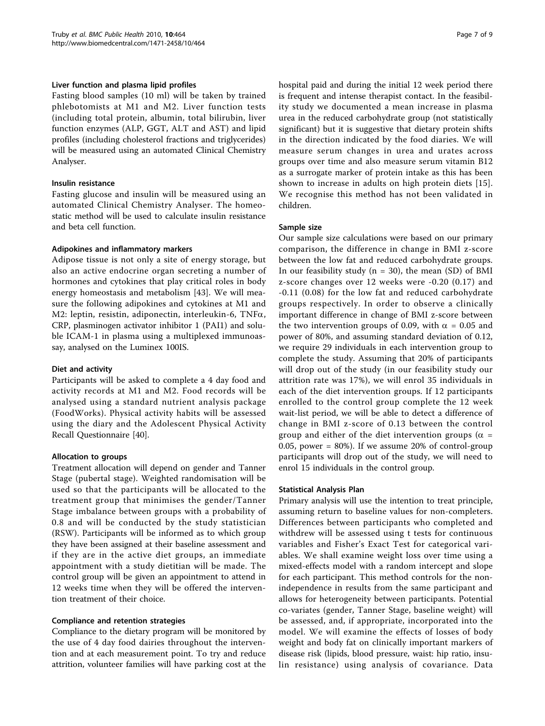#### Liver function and plasma lipid profiles

Fasting blood samples (10 ml) will be taken by trained phlebotomists at M1 and M2. Liver function tests (including total protein, albumin, total bilirubin, liver function enzymes (ALP, GGT, ALT and AST) and lipid profiles (including cholesterol fractions and triglycerides) will be measured using an automated Clinical Chemistry Analyser.

### Insulin resistance

Fasting glucose and insulin will be measured using an automated Clinical Chemistry Analyser. The homeostatic method will be used to calculate insulin resistance and beta cell function.

### Adipokines and inflammatory markers

Adipose tissue is not only a site of energy storage, but also an active endocrine organ secreting a number of hormones and cytokines that play critical roles in body energy homeostasis and metabolism [[43\]](#page-8-0). We will measure the following adipokines and cytokines at M1 and M2: leptin, resistin, adiponectin, interleukin-6, TNFa, CRP, plasminogen activator inhibitor 1 (PAI1) and soluble ICAM-1 in plasma using a multiplexed immunoassay, analysed on the Luminex 100IS.

### Diet and activity

Participants will be asked to complete a 4 day food and activity records at M1 and M2. Food records will be analysed using a standard nutrient analysis package (FoodWorks). Physical activity habits will be assessed using the diary and the Adolescent Physical Activity Recall Questionnaire [\[40\]](#page-8-0).

### Allocation to groups

Treatment allocation will depend on gender and Tanner Stage (pubertal stage). Weighted randomisation will be used so that the participants will be allocated to the treatment group that minimises the gender/Tanner Stage imbalance between groups with a probability of 0.8 and will be conducted by the study statistician (RSW). Participants will be informed as to which group they have been assigned at their baseline assessment and if they are in the active diet groups, an immediate appointment with a study dietitian will be made. The control group will be given an appointment to attend in 12 weeks time when they will be offered the intervention treatment of their choice.

### Compliance and retention strategies

Compliance to the dietary program will be monitored by the use of 4 day food dairies throughout the intervention and at each measurement point. To try and reduce attrition, volunteer families will have parking cost at the hospital paid and during the initial 12 week period there is frequent and intense therapist contact. In the feasibility study we documented a mean increase in plasma urea in the reduced carbohydrate group (not statistically significant) but it is suggestive that dietary protein shifts in the direction indicated by the food diaries. We will measure serum changes in urea and urates across groups over time and also measure serum vitamin B12 as a surrogate marker of protein intake as this has been shown to increase in adults on high protein diets [[15](#page-8-0)]. We recognise this method has not been validated in children.

### Sample size

Our sample size calculations were based on our primary comparison, the difference in change in BMI z-score between the low fat and reduced carbohydrate groups. In our feasibility study ( $n = 30$ ), the mean (SD) of BMI z-score changes over 12 weeks were -0.20 (0.17) and -0.11 (0.08) for the low fat and reduced carbohydrate groups respectively. In order to observe a clinically important difference in change of BMI z-score between the two intervention groups of 0.09, with  $\alpha = 0.05$  and power of 80%, and assuming standard deviation of 0.12, we require 29 individuals in each intervention group to complete the study. Assuming that 20% of participants will drop out of the study (in our feasibility study our attrition rate was 17%), we will enrol 35 individuals in each of the diet intervention groups. If 12 participants enrolled to the control group complete the 12 week wait-list period, we will be able to detect a difference of change in BMI z-score of 0.13 between the control group and either of the diet intervention groups ( $\alpha$  = 0.05, power =  $80\%$ ). If we assume 20% of control-group participants will drop out of the study, we will need to enrol 15 individuals in the control group.

### Statistical Analysis Plan

Primary analysis will use the intention to treat principle, assuming return to baseline values for non-completers. Differences between participants who completed and withdrew will be assessed using t tests for continuous variables and Fisher's Exact Test for categorical variables. We shall examine weight loss over time using a mixed-effects model with a random intercept and slope for each participant. This method controls for the nonindependence in results from the same participant and allows for heterogeneity between participants. Potential co-variates (gender, Tanner Stage, baseline weight) will be assessed, and, if appropriate, incorporated into the model. We will examine the effects of losses of body weight and body fat on clinically important markers of disease risk (lipids, blood pressure, waist: hip ratio, insulin resistance) using analysis of covariance. Data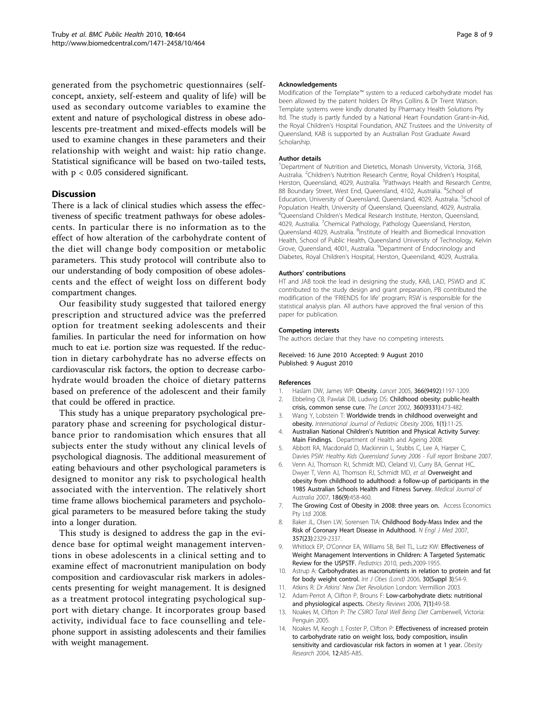<span id="page-7-0"></span>generated from the psychometric questionnaires (selfconcept, anxiety, self-esteem and quality of life) will be used as secondary outcome variables to examine the extent and nature of psychological distress in obese adolescents pre-treatment and mixed-effects models will be used to examine changes in these parameters and their relationship with weight and waist: hip ratio change. Statistical significance will be based on two-tailed tests, with p < 0.05 considered significant.

# **Discussion**

There is a lack of clinical studies which assess the effectiveness of specific treatment pathways for obese adolescents. In particular there is no information as to the effect of how alteration of the carbohydrate content of the diet will change body composition or metabolic parameters. This study protocol will contribute also to our understanding of body composition of obese adolescents and the effect of weight loss on different body compartment changes.

Our feasibility study suggested that tailored energy prescription and structured advice was the preferred option for treatment seeking adolescents and their families. In particular the need for information on how much to eat i.e. portion size was requested. If the reduction in dietary carbohydrate has no adverse effects on cardiovascular risk factors, the option to decrease carbohydrate would broaden the choice of dietary patterns based on preference of the adolescent and their family that could be offered in practice.

This study has a unique preparatory psychological preparatory phase and screening for psychological disturbance prior to randomisation which ensures that all subjects enter the study without any clinical levels of psychological diagnosis. The additional measurement of eating behaviours and other psychological parameters is designed to monitor any risk to psychological health associated with the intervention. The relatively short time frame allows biochemical parameters and psychological parameters to be measured before taking the study into a longer duration.

This study is designed to address the gap in the evidence base for optimal weight management interventions in obese adolescents in a clinical setting and to examine effect of macronutrient manipulation on body composition and cardiovascular risk markers in adolescents presenting for weight management. It is designed as a treatment protocol integrating psychological support with dietary change. It incorporates group based activity, individual face to face counselling and telephone support in assisting adolescents and their families with weight management.

#### Acknowledgements

Modification of the Template™ system to a reduced carbohydrate model has been allowed by the patent holders Dr Rhys Collins & Dr Trent Watson. Template systems were kindly donated by Pharmacy Health Solutions Pty ltd. The study is partly funded by a National Heart Foundation Grant-in-Aid, the Royal Children's Hospital Foundation, ANZ Trustees and the University of Queensland, KAB is supported by an Australian Post Graduate Award Scholarship.

#### Author details

<sup>1</sup>Department of Nutrition and Dietetics, Monash University, Victoria, 3168 Australia. <sup>2</sup>Children's Nutrition Research Centre, Royal Children's Hospital Herston, Queensland, 4029, Australia. <sup>3</sup>Pathways Health and Research Centre, 88 Boundary Street, West End, Queensland, 4102, Australia. <sup>4</sup>School of Education, University of Queensland, Queensland, 4029, Australia. <sup>5</sup>School of Population Health, University of Queensland, Queensland, 4029, Australia. 6 Queensland Children's Medical Research Institute, Herston, Queensland, 4029, Australia. <sup>7</sup>Chemical Pathology, Pathology Queensland, Herston, Queensland 4029, Australia. <sup>8</sup>Institute of Health and Biomedical Innovation Health, School of Public Health, Queensland University of Technology, Kelvin Grove, Queensland, 4001, Australia. <sup>9</sup>Department of Endocrinology and Diabetes, Royal Children's Hospital, Herston, Queensland, 4029, Australia.

#### Authors' contributions

HT and JAB took the lead in designing the study, KAB, LAD, PSWD and JC contributed to the study design and grant preparation, PB contributed the modification of the 'FRIENDS for life' program; RSW is responsible for the statistical analysis plan. All authors have approved the final version of this paper for publication.

#### Competing interests

The authors declare that they have no competing interests.

Received: 16 June 2010 Accepted: 9 August 2010 Published: 9 August 2010

#### References

- 1. Haslam DW, James WP: [Obesity.](http://www.ncbi.nlm.nih.gov/pubmed/16198769?dopt=Abstract) Lancet 2005, 366(9492):1197-1209.
- 2. Ebbeling CB, Pawlak DB, Ludwig DS: Childhood obesity: public-health crisis, common sense cure. The Lancet 2002, 360(9331):473-482.
- 3. Wang Y, Lobstein T: [Worldwide trends in childhood overweight and](http://www.ncbi.nlm.nih.gov/pubmed/17902211?dopt=Abstract) [obesity.](http://www.ncbi.nlm.nih.gov/pubmed/17902211?dopt=Abstract) International Journal of Pediatric Obesity 2006, 1(1):11-25.
- 4. Australian National Children's Nutrition and Physical Activity Survey: Main Findings. Department of Health and Ageing 2008.
- 5. Abbott RA, Macdonald D, Mackinnin L, Stubbs C, Lee A, Harper C, Davies PSW: Healthy Kids Queensland Survey 2006 - Full report Brisbane 2007.
- 6. Venn AJ, Thomson RJ, Schmidt MD, Cleland VJ, Curry BA, Gennat HC, Dwyer T, Venn AJ, Thomson RJ, Schmidt MD, et al: [Overweight and](http://www.ncbi.nlm.nih.gov/pubmed/17484707?dopt=Abstract) [obesity from childhood to adulthood: a follow-up of participants in the](http://www.ncbi.nlm.nih.gov/pubmed/17484707?dopt=Abstract) [1985 Australian Schools Health and Fitness Survey.](http://www.ncbi.nlm.nih.gov/pubmed/17484707?dopt=Abstract) Medical Journal of Australia 2007, 186(9):458-460.
- 7. The Growing Cost of Obesity in 2008: three years on. Access Economics Pty Ltd 2008.
- 8. Baker JL, Olsen LW, Sorensen TIA: [Childhood Body-Mass Index and the](http://www.ncbi.nlm.nih.gov/pubmed/18057335?dopt=Abstract) [Risk of Coronary Heart Disease in Adulthood.](http://www.ncbi.nlm.nih.gov/pubmed/18057335?dopt=Abstract) N Engl J Med 2007, 357(23):2329-2337.
- 9. Whitlock EP, O'Connor EA, Williams SB, Beil TL, Lutz KW: Effectiveness of Weight Management Interventions in Children: A Targeted Systematic Review for the USPSTF. Pediatrics 2010, peds.2009-1955.
- 10. Astrup A: Carbohydrates as macronutrients in relation to protein and fat for body weight control. Int J Obes (Lond) 2006, 30(Suppl 3):S4-9.
- 11. Atkins R: Dr Atkins' New Diet Revolution London: Vermillion 2003. 12. Adam-Perrot A, Clifton P, Brouns F: [Low-carbohydrate diets: nutritional](http://www.ncbi.nlm.nih.gov/pubmed/16436102?dopt=Abstract)
- [and physiological aspects.](http://www.ncbi.nlm.nih.gov/pubmed/16436102?dopt=Abstract) Obesity Reviews 2006, 7(1):49-58.
- 13. Noakes M, Clifton P: The CSIRO Total Well Being Diet Camberwell, Victoria: Penguin 2005.
- 14. Noakes M, Keogh J, Foster P, Clifton P: Effectiveness of increased protein to carbohydrate ratio on weight loss, body composition, insulin sensitivity and cardiovascular risk factors in women at 1 year. Obesity Research 2004, 12:A85-A85.